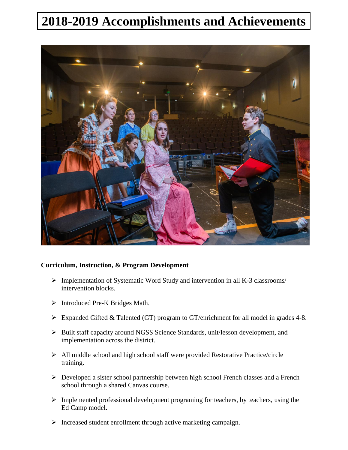## **2018-2019 Accomplishments and Achievements**



## **Curriculum, Instruction, & Program Development**

- $\triangleright$  Implementation of Systematic Word Study and intervention in all K-3 classrooms/ intervention blocks.
- > Introduced Pre-K Bridges Math.
- Expanded Gifted & Talented (GT) program to GT/enrichment for all model in grades 4-8.
- Built staff capacity around NGSS Science Standards, unit/lesson development, and implementation across the district.
- All middle school and high school staff were provided Restorative Practice/circle training.
- Developed a sister school partnership between high school French classes and a French school through a shared Canvas course.
- $\triangleright$  Implemented professional development programing for teachers, by teachers, using the Ed Camp model.
- $\triangleright$  Increased student enrollment through active marketing campaign.